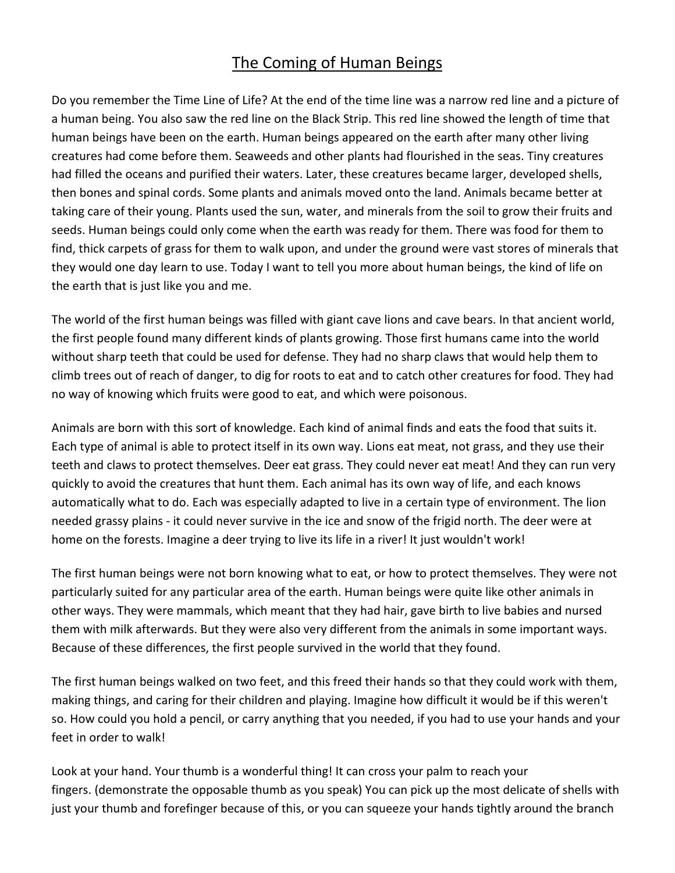## The Coming of Human Beings

Do you remember the Time Line of Life? At the end of the time line was a narrow red line and a picture of a human being. You also saw the red line on the Black Strip. This red line showed the length of time that human beings have been on the earth. Human beings appeared on the earth after many other living creatures had come before them. Seaweeds and other plants had flourished in the seas. Tiny creatures had filled the oceans and purified their waters. Later, these creatures became larger, developed shells, then bones and spinal cords. Some plants and animals moved onto the land. Animals became better at taking care of their young. Plants used the sun, water, and minerals from the soil to grow their fruits and seeds. Human beings could only come when the earth was ready for them. There was food for them to find, thick carpets of grass for them to walk upon, and under the ground were vast stores of minerals that they would one day learn to use. Today I want to tell you more about human beings, the kind of life on the earth that is just like you and me.

The world of the first human beings was filled with giant cave lions and cave bears. In that ancient world, the first people found many different kinds of plants growing. Those first humans came into the world without sharp teeth that could be used for defense. They had no sharp claws that would help them to climb trees out of reach of danger, to dig for roots to eat and to catch other creatures for food. They had no way of knowing which fruits were good to eat, and which were poisonous.

Animals are born with this sort of knowledge. Each kind of animal finds and eats the food that suits it. Each type of animal is able to protect itself in its own way. Lions eat meat, not grass, and they use their teeth and claws to protect themselves. Deer eat grass. They could never eat meat! And they can run very quickly to avoid the creatures that hunt them. Each animal has its own way of life, and each knows automatically what to do. Each was especially adapted to live in a certain type of environment. The lion needed grassy plains - it could never survive in the ice and snow of the frigid north. The deer were at home on the forests. Imagine a deer trying to live its life in a river! It just wouldn't work!

The first human beings were not born knowing what to eat, or how to protect themselves. They were not particularly suited for any particular area of the earth. Human beings were quite like other animals in other ways. They were mammals, which meant that they had hair, gave birth to live babies and nursed them with milk afterwards. But they were also very different from the animals in some important ways. Because of these differences, the first people survived in the world that they found.

The first human beings walked on two feet, and this freed their hands so that they could work with them, making things, and caring for their children and playing. Imagine how difficult it would be if this weren't so. How could you hold a pencil, or carry anything that you needed, if you had to use your hands and your feet in order to walk!

Look at your hand. Your thumb is a wonderful thing! It can cross your palm to reach your fingers. (demonstrate the opposable thumb as you speak) You can pick up the most delicate of shells with just your thumb and forefinger because of this, or you can squeeze your hands tightly around the branch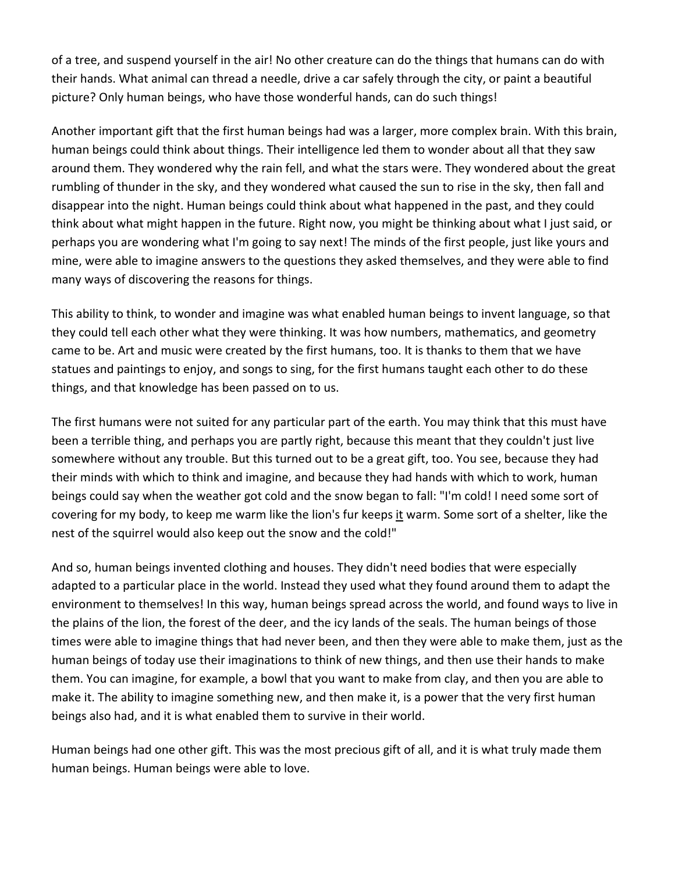of a tree, and suspend yourself in the air! No other creature can do the things that humans can do with their hands. What animal can thread a needle, drive a car safely through the city, or paint a beautiful picture? Only human beings, who have those wonderful hands, can do such things!

Another important gift that the first human beings had was a larger, more complex brain. With this brain, human beings could think about things. Their intelligence led them to wonder about all that they saw around them. They wondered why the rain fell, and what the stars were. They wondered about the great rumbling of thunder in the sky, and they wondered what caused the sun to rise in the sky, then fall and disappear into the night. Human beings could think about what happened in the past, and they could think about what might happen in the future. Right now, you might be thinking about what I just said, or perhaps you are wondering what I'm going to say next! The minds of the first people, just like yours and mine, were able to imagine answers to the questions they asked themselves, and they were able to find many ways of discovering the reasons for things.

This ability to think, to wonder and imagine was what enabled human beings to invent language, so that they could tell each other what they were thinking. It was how numbers, mathematics, and geometry came to be. Art and music were created by the first humans, too. It is thanks to them that we have statues and paintings to enjoy, and songs to sing, for the first humans taught each other to do these things, and that knowledge has been passed on to us.

The first humans were not suited for any particular part of the earth. You may think that this must have been a terrible thing, and perhaps you are partly right, because this meant that they couldn't just live somewhere without any trouble. But this turned out to be a great gift, too. You see, because they had their minds with which to think and imagine, and because they had hands with which to work, human beings could say when the weather got cold and the snow began to fall: "I'm cold! I need some sort of covering for my body, to keep me warm like the lion's fur keeps it warm. Some sort of a shelter, like the nest of the squirrel would also keep out the snow and the cold!"

And so, human beings invented clothing and houses. They didn't need bodies that were especially adapted to a particular place in the world. Instead they used what they found around them to adapt the environment to themselves! In this way, human beings spread across the world, and found ways to live in the plains of the lion, the forest of the deer, and the icy lands of the seals. The human beings of those times were able to imagine things that had never been, and then they were able to make them, just as the human beings of today use their imaginations to think of new things, and then use their hands to make them. You can imagine, for example, a bowl that you want to make from clay, and then you are able to make it. The ability to imagine something new, and then make it, is a power that the very first human beings also had, and it is what enabled them to survive in their world.

Human beings had one other gift. This was the most precious gift of all, and it is what truly made them human beings. Human beings were able to love.